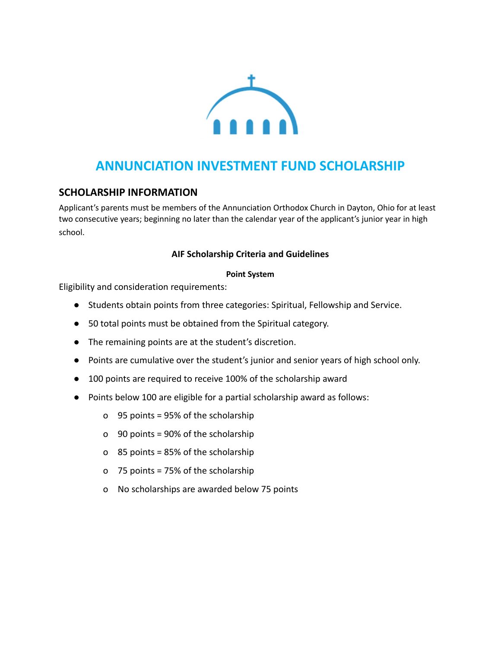

# **ANNUNCIATION INVESTMENT FUND SCHOLARSHIP**

## **SCHOLARSHIP INFORMATION**

Applicant's parents must be members of the Annunciation Orthodox Church in Dayton, Ohio for at least two consecutive years; beginning no later than the calendar year of the applicant's junior year in high school.

#### **AIF Scholarship Criteria and Guidelines**

#### **Point System**

Eligibility and consideration requirements:

- Students obtain points from three categories: Spiritual, Fellowship and Service.
- 50 total points must be obtained from the Spiritual category.
- The remaining points are at the student's discretion.
- Points are cumulative over the student's junior and senior years of high school only.
- 100 points are required to receive 100% of the scholarship award
- Points below 100 are eligible for a partial scholarship award as follows:
	- o 95 points = 95% of the scholarship
	- o 90 points = 90% of the scholarship
	- o 85 points = 85% of the scholarship
	- o 75 points = 75% of the scholarship
	- o No scholarships are awarded below 75 points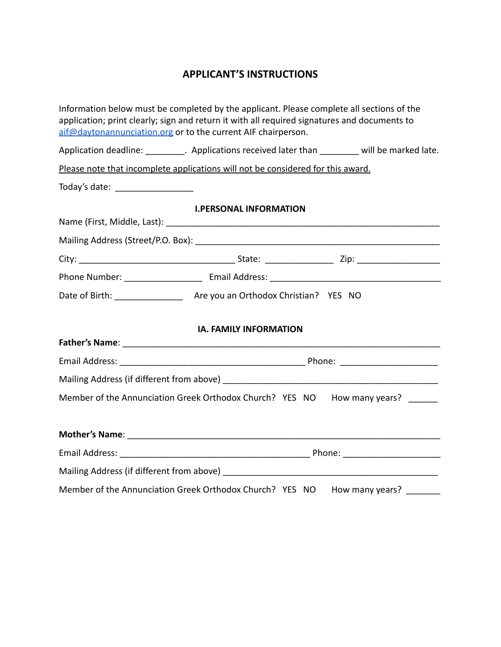# **APPLICANT'S INSTRUCTIONS**

|                                                                          | Information below must be completed by the applicant. Please complete all sections of the<br>application; print clearly; sign and return it with all required signatures and documents to<br>aif@daytonannunciation.org or to the current AIF chairperson. |  |
|--------------------------------------------------------------------------|------------------------------------------------------------------------------------------------------------------------------------------------------------------------------------------------------------------------------------------------------------|--|
|                                                                          | Application deadline: __________. Applications received later than ________ will be marked late.                                                                                                                                                           |  |
|                                                                          | Please note that incomplete applications will not be considered for this award.                                                                                                                                                                            |  |
| Today's date: __________________                                         |                                                                                                                                                                                                                                                            |  |
|                                                                          | <b>I.PERSONAL INFORMATION</b>                                                                                                                                                                                                                              |  |
|                                                                          |                                                                                                                                                                                                                                                            |  |
|                                                                          |                                                                                                                                                                                                                                                            |  |
|                                                                          |                                                                                                                                                                                                                                                            |  |
|                                                                          |                                                                                                                                                                                                                                                            |  |
|                                                                          | <b>IA. FAMILY INFORMATION</b>                                                                                                                                                                                                                              |  |
|                                                                          |                                                                                                                                                                                                                                                            |  |
|                                                                          |                                                                                                                                                                                                                                                            |  |
|                                                                          |                                                                                                                                                                                                                                                            |  |
|                                                                          | Member of the Annunciation Greek Orthodox Church? YES NO How many years?                                                                                                                                                                                   |  |
|                                                                          |                                                                                                                                                                                                                                                            |  |
|                                                                          |                                                                                                                                                                                                                                                            |  |
|                                                                          |                                                                                                                                                                                                                                                            |  |
| Member of the Annunciation Greek Orthodox Church? YES NO How many years? |                                                                                                                                                                                                                                                            |  |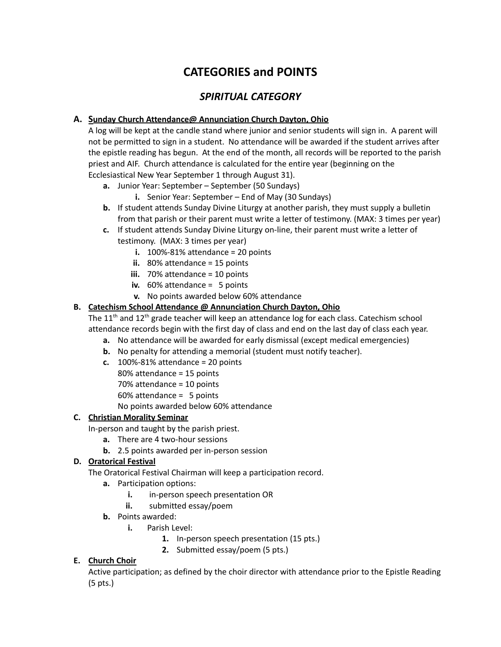# **CATEGORIES and POINTS**

# *SPIRITUAL CATEGORY*

#### **A. Sunday Church Attendance@ Annunciation Church Dayton, Ohio**

A log will be kept at the candle stand where junior and senior students will sign in. A parent will not be permitted to sign in a student. No attendance will be awarded if the student arrives after the epistle reading has begun. At the end of the month, all records will be reported to the parish priest and AIF. Church attendance is calculated for the entire year (beginning on the Ecclesiastical New Year September 1 through August 31).

- **a.** Junior Year: September September (50 Sundays)
	- **i.** Senior Year: September End of May (30 Sundays)
- **b.** If student attends Sunday Divine Liturgy at another parish, they must supply a bulletin from that parish or their parent must write a letter of testimony. (MAX: 3 times per year)
- **c.** If student attends Sunday Divine Liturgy on-line, their parent must write a letter of testimony. (MAX: 3 times per year)
	- **i.** 100%-81% attendance = 20 points
	- **ii.** 80% attendance = 15 points
	- iii. 70% attendance = 10 points
	- **iv.** 60% attendance = 5 points
	- **v.** No points awarded below 60% attendance

#### **B. Catechism School Attendance @ Annunciation Church Dayton, Ohio**

The  $11<sup>th</sup>$  and  $12<sup>th</sup>$  grade teacher will keep an attendance log for each class. Catechism school attendance records begin with the first day of class and end on the last day of class each year.

- **a.** No attendance will be awarded for early dismissal (except medical emergencies)
- **b.** No penalty for attending a memorial (student must notify teacher).
- **c.** 100%-81% attendance = 20 points
	- 80% attendance = 15 points
	- 70% attendance = 10 points
	- 60% attendance = 5 points

No points awarded below 60% attendance

#### **C. Christian Morality Seminar**

- In-person and taught by the parish priest.
	- **a.** There are 4 two-hour sessions
	- **b.** 2.5 points awarded per in-person session

#### **D. Oratorical Festival**

The Oratorical Festival Chairman will keep a participation record.

- **a.** Participation options:
	- **i.** in-person speech presentation OR
	- **ii.** submitted essay/poem
- **b.** Points awarded:
	- **i.** Parish Level:
		- **1.** In-person speech presentation (15 pts.)
		- **2.** Submitted essay/poem (5 pts.)

#### **E. Church Choir**

Active participation; as defined by the choir director with attendance prior to the Epistle Reading (5 pts.)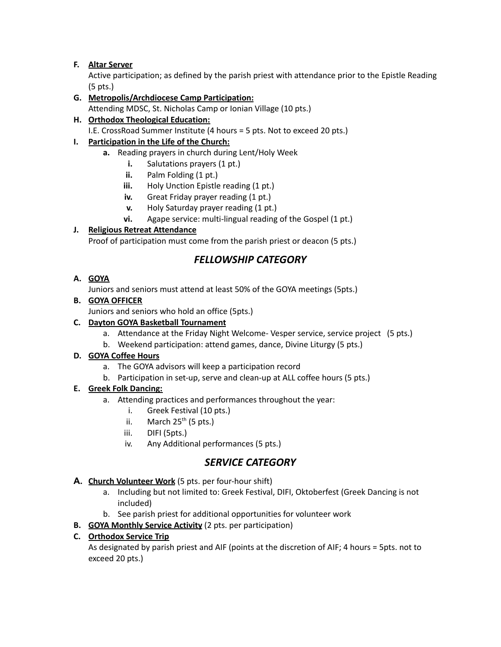#### **F. Altar Server**

Active participation; as defined by the parish priest with attendance prior to the Epistle Reading (5 pts.)

- **G. Metropolis/Archdiocese Camp Participation:** Attending MDSC, St. Nicholas Camp or Ionian Village (10 pts.)
- **H. Orthodox Theological Education:**

I.E. CrossRoad Summer Institute (4 hours = 5 pts. Not to exceed 20 pts.)

#### **I. Participation in the Life of the Church:**

- **a.** Reading prayers in church during Lent/Holy Week
	- **i.** Salutations prayers (1 pt.)
	- **ii.** Palm Folding (1 pt.)
	- **iii.** Holy Unction Epistle reading (1 pt.)
	- **iv.** Great Friday prayer reading (1 pt.)
	- **v.** Holy Saturday prayer reading (1 pt.)
	- **vi.** Agape service: multi-lingual reading of the Gospel (1 pt.)

#### **J. Religious Retreat Attendance**

Proof of participation must come from the parish priest or deacon (5 pts.)

## *FELLOWSHIP CATEGORY*

#### **A. GOYA**

Juniors and seniors must attend at least 50% of the GOYA meetings (5pts.)

#### **B. GOYA OFFICER**

Juniors and seniors who hold an office (5pts.)

#### **C. Dayton GOYA Basketball Tournament**

- a. Attendance at the Friday Night Welcome- Vesper service, service project (5 pts.)
- b. Weekend participation: attend games, dance, Divine Liturgy (5 pts.)

#### **D. GOYA Coffee Hours**

- a. The GOYA advisors will keep a participation record
- b. Participation in set-up, serve and clean-up at ALL coffee hours (5 pts.)

## **E. Greek Folk Dancing:**

- a. Attending practices and performances throughout the year:
	- i. Greek Festival (10 pts.)<br>ii. March 25<sup>th</sup> (5 pts.)
	- ii. March 25<sup>th</sup> (5 pts.)
	- iii. DIFI (5pts.)
	- iv. Any Additional performances (5 pts.)

## *SERVICE CATEGORY*

## **A. Church Volunteer Work** (5 pts. per four-hour shift)

- a. Including but not limited to: Greek Festival, DIFI, Oktoberfest (Greek Dancing is not included)
- b. See parish priest for additional opportunities for volunteer work
- **B. GOYA Monthly Service Activity** (2 pts. per participation)

## **C. Orthodox Service Trip**

As designated by parish priest and AIF (points at the discretion of AIF; 4 hours = 5pts. not to exceed 20 pts.)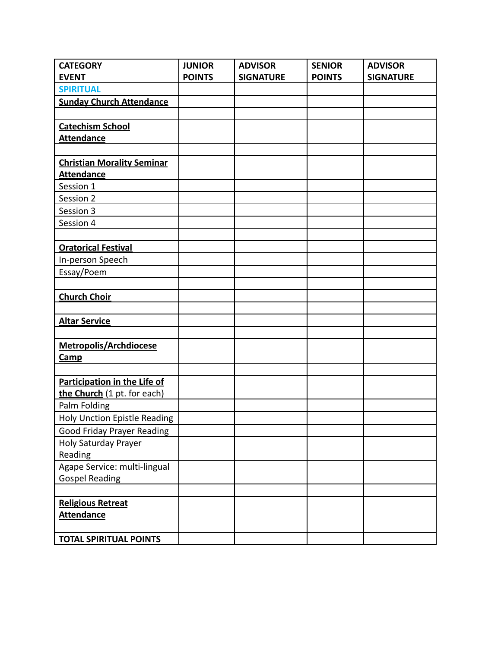| <b>CATEGORY</b>                     | <b>JUNIOR</b> | <b>ADVISOR</b>   | <b>SENIOR</b> | <b>ADVISOR</b>   |
|-------------------------------------|---------------|------------------|---------------|------------------|
| <b>EVENT</b>                        | <b>POINTS</b> | <b>SIGNATURE</b> | <b>POINTS</b> | <b>SIGNATURE</b> |
| <b>SPIRITUAL</b>                    |               |                  |               |                  |
| <b>Sunday Church Attendance</b>     |               |                  |               |                  |
|                                     |               |                  |               |                  |
| <b>Catechism School</b>             |               |                  |               |                  |
| <b>Attendance</b>                   |               |                  |               |                  |
|                                     |               |                  |               |                  |
| <b>Christian Morality Seminar</b>   |               |                  |               |                  |
| <b>Attendance</b>                   |               |                  |               |                  |
| Session 1                           |               |                  |               |                  |
| Session 2                           |               |                  |               |                  |
| Session 3                           |               |                  |               |                  |
| Session 4                           |               |                  |               |                  |
|                                     |               |                  |               |                  |
| <b>Oratorical Festival</b>          |               |                  |               |                  |
| In-person Speech                    |               |                  |               |                  |
| Essay/Poem                          |               |                  |               |                  |
|                                     |               |                  |               |                  |
| <b>Church Choir</b>                 |               |                  |               |                  |
|                                     |               |                  |               |                  |
| <b>Altar Service</b>                |               |                  |               |                  |
|                                     |               |                  |               |                  |
| Metropolis/Archdiocese              |               |                  |               |                  |
| Camp                                |               |                  |               |                  |
|                                     |               |                  |               |                  |
| Participation in the Life of        |               |                  |               |                  |
| the Church (1 pt. for each)         |               |                  |               |                  |
| Palm Folding                        |               |                  |               |                  |
| <b>Holy Unction Epistle Reading</b> |               |                  |               |                  |
| Good Friday Prayer Reading          |               |                  |               |                  |
| Holy Saturday Prayer                |               |                  |               |                  |
| Reading                             |               |                  |               |                  |
| Agape Service: multi-lingual        |               |                  |               |                  |
| <b>Gospel Reading</b>               |               |                  |               |                  |
|                                     |               |                  |               |                  |
| <b>Religious Retreat</b>            |               |                  |               |                  |
| <b>Attendance</b>                   |               |                  |               |                  |
|                                     |               |                  |               |                  |
| <b>TOTAL SPIRITUAL POINTS</b>       |               |                  |               |                  |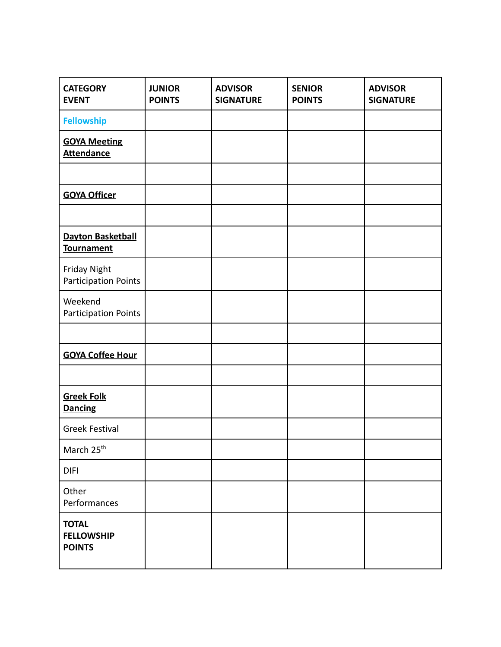| <b>CATEGORY</b><br><b>EVENT</b>                    | <b>JUNIOR</b><br><b>POINTS</b> | <b>ADVISOR</b><br><b>SIGNATURE</b> | <b>SENIOR</b><br><b>POINTS</b> | <b>ADVISOR</b><br><b>SIGNATURE</b> |
|----------------------------------------------------|--------------------------------|------------------------------------|--------------------------------|------------------------------------|
| <b>Fellowship</b>                                  |                                |                                    |                                |                                    |
| <b>GOYA Meeting</b><br><b>Attendance</b>           |                                |                                    |                                |                                    |
|                                                    |                                |                                    |                                |                                    |
| <b>GOYA Officer</b>                                |                                |                                    |                                |                                    |
|                                                    |                                |                                    |                                |                                    |
| <b>Dayton Basketball</b><br><b>Tournament</b>      |                                |                                    |                                |                                    |
| <b>Friday Night</b><br>Participation Points        |                                |                                    |                                |                                    |
| Weekend<br>Participation Points                    |                                |                                    |                                |                                    |
|                                                    |                                |                                    |                                |                                    |
| <b>GOYA Coffee Hour</b>                            |                                |                                    |                                |                                    |
|                                                    |                                |                                    |                                |                                    |
| <b>Greek Folk</b><br><b>Dancing</b>                |                                |                                    |                                |                                    |
| <b>Greek Festival</b>                              |                                |                                    |                                |                                    |
| March 25 <sup>th</sup>                             |                                |                                    |                                |                                    |
| <b>DIFI</b>                                        |                                |                                    |                                |                                    |
| Other<br>Performances                              |                                |                                    |                                |                                    |
| <b>TOTAL</b><br><b>FELLOWSHIP</b><br><b>POINTS</b> |                                |                                    |                                |                                    |